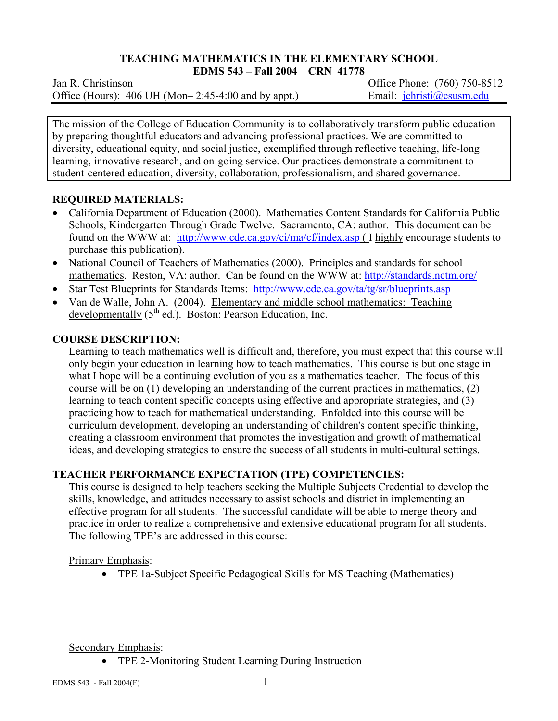# **TEACHING MATHEMATICS IN THE ELEMENTARY SCHOOL**

**EDMS 543 – Fall 2004 CRN 41778** 

Office (Hours): 406 UH (Mon–2:45-4:00 and by appt.) Email: jchristi@csusm.edu

Jan R. ChristinsonOffice Phone: (760) 750-8512

The mission of the College of Education Community is to collaboratively transform public education by preparing thoughtful educators and advancing professional practices. We are committed to diversity, educational equity, and social justice, exemplified through reflective teaching, life-long learning, innovative research, and on-going service. Our practices demonstrate a commitment to student-centered education, diversity, collaboration, professionalism, and shared governance.

# **REQUIRED MATERIALS:**

- California Department of Education (2000). Mathematics Content Standards for California Public Schools, Kindergarten Through Grade Twelve. Sacramento, CA: author. This document can be found on the WWW at: http://www.cde.ca.gov/ci/ma/cf/index.asp ( I highly encourage students to purchase this publication).
- National Council of Teachers of Mathematics (2000). Principles and standards for school mathematics. Reston, VA: author. Can be found on the WWW at: http://standards.nctm.org/
- Star Test Blueprints for Standards Items: http://www.cde.ca.gov/ta/tg/sr/blueprints.asp
- Van de Walle, John A. (2004). Elementary and middle school mathematics: Teaching developmentally  $(5<sup>th</sup>$  ed.). Boston: Pearson Education, Inc.

# **COURSE DESCRIPTION:**

Learning to teach mathematics well is difficult and, therefore, you must expect that this course will only begin your education in learning how to teach mathematics. This course is but one stage in what I hope will be a continuing evolution of you as a mathematics teacher. The focus of this course will be on (1) developing an understanding of the current practices in mathematics, (2) learning to teach content specific concepts using effective and appropriate strategies, and (3) practicing how to teach for mathematical understanding. Enfolded into this course will be curriculum development, developing an understanding of children's content specific thinking, creating a classroom environment that promotes the investigation and growth of mathematical ideas, and developing strategies to ensure the success of all students in multi-cultural settings.

# **TEACHER PERFORMANCE EXPECTATION (TPE) COMPETENCIES:**

This course is designed to help teachers seeking the Multiple Subjects Credential to develop the skills, knowledge, and attitudes necessary to assist schools and district in implementing an effective program for all students. The successful candidate will be able to merge theory and practice in order to realize a comprehensive and extensive educational program for all students. The following TPE's are addressed in this course:

# Primary Emphasis:

• TPE 1a-Subject Specific Pedagogical Skills for MS Teaching (Mathematics)

Secondary Emphasis:

• TPE 2-Monitoring Student Learning During Instruction

EDMS  $543 - \text{Fall } 2004(F)$  1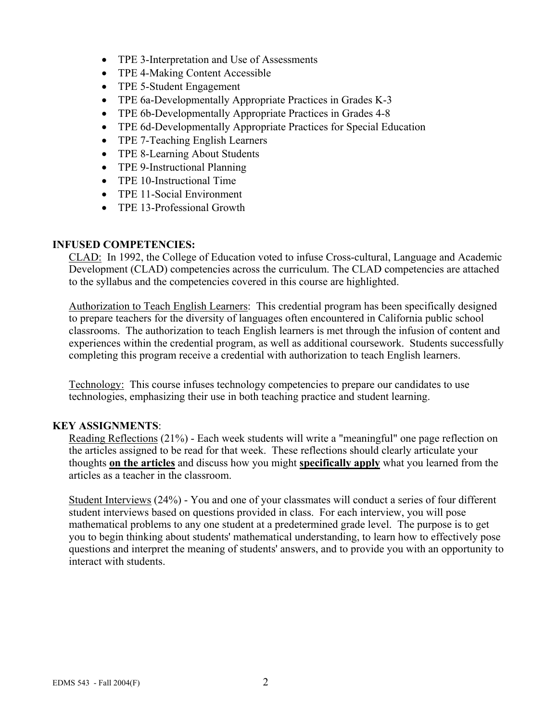- TPE 3-Interpretation and Use of Assessments
- TPE 4-Making Content Accessible
- TPE 5-Student Engagement
- TPE 6a-Developmentally Appropriate Practices in Grades K-3
- TPE 6b-Developmentally Appropriate Practices in Grades 4-8
- TPE 6d-Developmentally Appropriate Practices for Special Education
- TPE 7-Teaching English Learners
- TPE 8-Learning About Students
- TPE 9-Instructional Planning
- TPE 10-Instructional Time
- TPE 11-Social Environment
- TPE 13-Professional Growth

## **INFUSED COMPETENCIES:**

CLAD: In 1992, the College of Education voted to infuse Cross-cultural, Language and Academic Development (CLAD) competencies across the curriculum. The CLAD competencies are attached to the syllabus and the competencies covered in this course are highlighted.

Authorization to Teach English Learners: This credential program has been specifically designed to prepare teachers for the diversity of languages often encountered in California public school classrooms. The authorization to teach English learners is met through the infusion of content and experiences within the credential program, as well as additional coursework. Students successfully completing this program receive a credential with authorization to teach English learners.

Technology: This course infuses technology competencies to prepare our candidates to use technologies, emphasizing their use in both teaching practice and student learning.

## **KEY ASSIGNMENTS**:

Reading Reflections (21%) - Each week students will write a "meaningful" one page reflection on the articles assigned to be read for that week. These reflections should clearly articulate your thoughts **on the articles** and discuss how you might **specifically apply** what you learned from the articles as a teacher in the classroom.

Student Interviews (24%) - You and one of your classmates will conduct a series of four different student interviews based on questions provided in class. For each interview, you will pose mathematical problems to any one student at a predetermined grade level. The purpose is to get you to begin thinking about students' mathematical understanding, to learn how to effectively pose questions and interpret the meaning of students' answers, and to provide you with an opportunity to interact with students.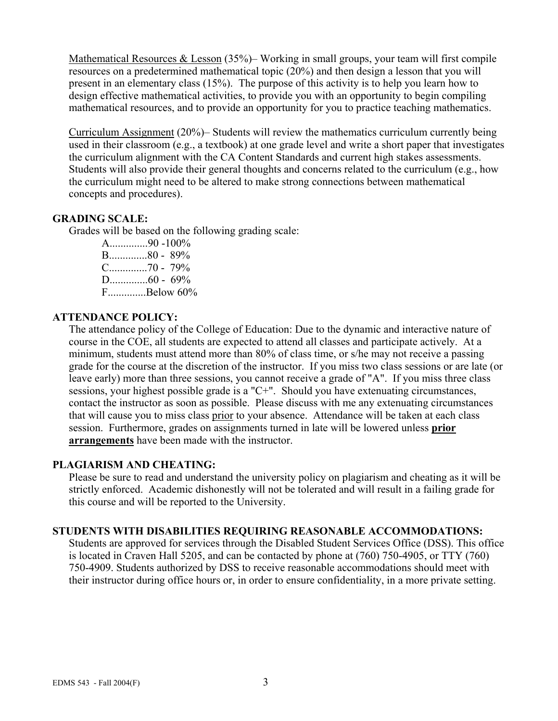Mathematical Resources & Lesson (35%)– Working in small groups, your team will first compile resources on a predetermined mathematical topic (20%) and then design a lesson that you will present in an elementary class (15%). The purpose of this activity is to help you learn how to design effective mathematical activities, to provide you with an opportunity to begin compiling mathematical resources, and to provide an opportunity for you to practice teaching mathematics.

Curriculum Assignment (20%)– Students will review the mathematics curriculum currently being used in their classroom (e.g., a textbook) at one grade level and write a short paper that investigates the curriculum alignment with the CA Content Standards and current high stakes assessments. Students will also provide their general thoughts and concerns related to the curriculum (e.g., how the curriculum might need to be altered to make strong connections between mathematical concepts and procedures).

## **GRADING SCALE:**

Grades will be based on the following grading scale:

A..............90 -100% B..............80 - 89% C..............70 - 79% D..............60 - 69% F..............Below 60%

# **ATTENDANCE POLICY:**

The attendance policy of the College of Education: Due to the dynamic and interactive nature of course in the COE, all students are expected to attend all classes and participate actively. At a minimum, students must attend more than 80% of class time, or s/he may not receive a passing grade for the course at the discretion of the instructor. If you miss two class sessions or are late (or leave early) more than three sessions, you cannot receive a grade of "A". If you miss three class sessions, your highest possible grade is a "C+". Should you have extenuating circumstances, contact the instructor as soon as possible. Please discuss with me any extenuating circumstances that will cause you to miss class prior to your absence. Attendance will be taken at each class session. Furthermore, grades on assignments turned in late will be lowered unless **prior arrangements** have been made with the instructor.

## **PLAGIARISM AND CHEATING:**

Please be sure to read and understand the university policy on plagiarism and cheating as it will be strictly enforced. Academic dishonestly will not be tolerated and will result in a failing grade for this course and will be reported to the University.

## **STUDENTS WITH DISABILITIES REQUIRING REASONABLE ACCOMMODATIONS:**

Students are approved for services through the Disabled Student Services Office (DSS). This office is located in Craven Hall 5205, and can be contacted by phone at (760) 750-4905, or TTY (760) 750-4909. Students authorized by DSS to receive reasonable accommodations should meet with their instructor during office hours or, in order to ensure confidentiality, in a more private setting.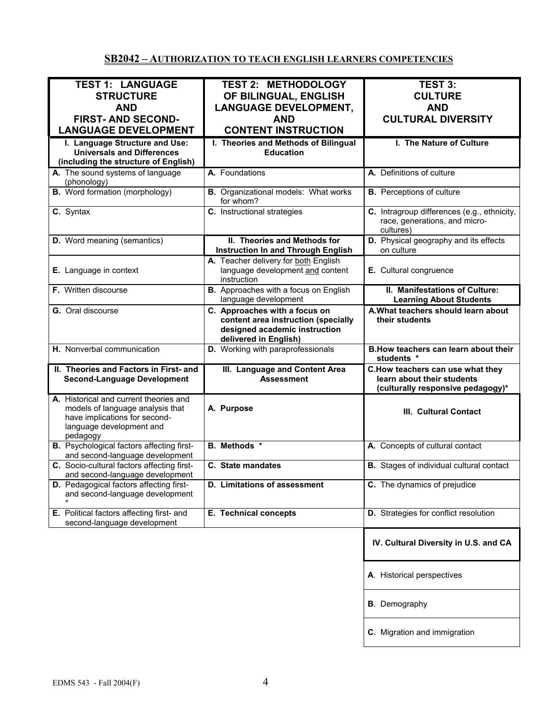# **SB2042 – AUTHORIZATION TO TEACH ENGLISH LEARNERS COMPETENCIES**

| <b>TEST 1: LANGUAGE</b>                          | <b>TEST 2: METHODOLOGY</b>                  | TEST 3:                                         |
|--------------------------------------------------|---------------------------------------------|-------------------------------------------------|
| <b>STRUCTURE</b>                                 | OF BILINGUAL, ENGLISH                       | <b>CULTURE</b>                                  |
| <b>AND</b>                                       | <b>LANGUAGE DEVELOPMENT,</b>                | <b>AND</b>                                      |
|                                                  |                                             |                                                 |
| <b>FIRST-AND SECOND-</b>                         | <b>AND</b>                                  | <b>CULTURAL DIVERSITY</b>                       |
| <b>LANGUAGE DEVELOPMENT</b>                      | <b>CONTENT INSTRUCTION</b>                  |                                                 |
| I. Language Structure and Use:                   | I. Theories and Methods of Bilingual        | I. The Nature of Culture                        |
| <b>Universals and Differences</b>                | <b>Education</b>                            |                                                 |
| (including the structure of English)             |                                             |                                                 |
|                                                  |                                             |                                                 |
| A. The sound systems of language                 | A. Foundations                              | A. Definitions of culture                       |
| (phonology)                                      |                                             |                                                 |
| <b>B.</b> Word formation (morphology)            | <b>B.</b> Organizational models: What works | <b>B.</b> Perceptions of culture                |
|                                                  | for whom?                                   |                                                 |
| C. Syntax                                        | C. Instructional strategies                 | C. Intragroup differences (e.g., ethnicity,     |
|                                                  |                                             | race, generations, and micro-                   |
|                                                  |                                             | cultures)                                       |
| <b>D.</b> Word meaning (semantics)               | II. Theories and Methods for                | D. Physical geography and its effects           |
|                                                  | <b>Instruction In and Through English</b>   | on culture                                      |
|                                                  | A. Teacher delivery for both English        |                                                 |
|                                                  | language development and content            |                                                 |
| E. Language in context                           |                                             | E. Cultural congruence                          |
|                                                  | instruction                                 |                                                 |
| F. Written discourse                             | B. Approaches with a focus on English       | II. Manifestations of Culture:                  |
|                                                  | language development                        | <b>Learning About Students</b>                  |
| <b>G.</b> Oral discourse                         | C. Approaches with a focus on               | A. What teachers should learn about             |
|                                                  | content area instruction (specially         | their students                                  |
|                                                  | designed academic instruction               |                                                 |
|                                                  | delivered in English)                       |                                                 |
| H. Nonverbal communication                       | D. Working with paraprofessionals           | B. How teachers can learn about their           |
|                                                  |                                             | students *                                      |
| II. Theories and Factors in First- and           |                                             |                                                 |
|                                                  | III. Language and Content Area              | C.How teachers can use what they                |
| <b>Second-Language Development</b>               | <b>Assessment</b>                           | learn about their students                      |
|                                                  |                                             | (culturally responsive pedagogy)*               |
| A. Historical and current theories and           |                                             |                                                 |
| models of language analysis that                 | A. Purpose                                  | <b>III. Cultural Contact</b>                    |
| have implications for second-                    |                                             |                                                 |
| language development and                         |                                             |                                                 |
| pedagogy                                         |                                             |                                                 |
| <b>B.</b> Psychological factors affecting first- | <b>B.</b> Methods *                         | A. Concepts of cultural contact                 |
| and second-language development                  |                                             |                                                 |
| C. Socio-cultural factors affecting first-       | C. State mandates                           | <b>B.</b> Stages of individual cultural contact |
| and second-language development                  |                                             |                                                 |
| D. Pedagogical factors affecting first-          | D. Limitations of assessment                | C. The dynamics of prejudice                    |
| and second-language development                  |                                             |                                                 |
|                                                  |                                             |                                                 |
| E. Political factors affecting first- and        | E. Technical concepts                       | D. Strategies for conflict resolution           |
| second-language development                      |                                             |                                                 |
|                                                  |                                             |                                                 |
|                                                  |                                             |                                                 |
|                                                  |                                             | IV. Cultural Diversity in U.S. and CA           |
|                                                  |                                             |                                                 |
|                                                  |                                             |                                                 |
|                                                  |                                             |                                                 |
|                                                  |                                             |                                                 |
|                                                  |                                             | A. Historical perspectives                      |
|                                                  |                                             |                                                 |
|                                                  |                                             |                                                 |
|                                                  |                                             | <b>B</b> . Demography                           |
|                                                  |                                             |                                                 |
|                                                  |                                             | C. Migration and immigration                    |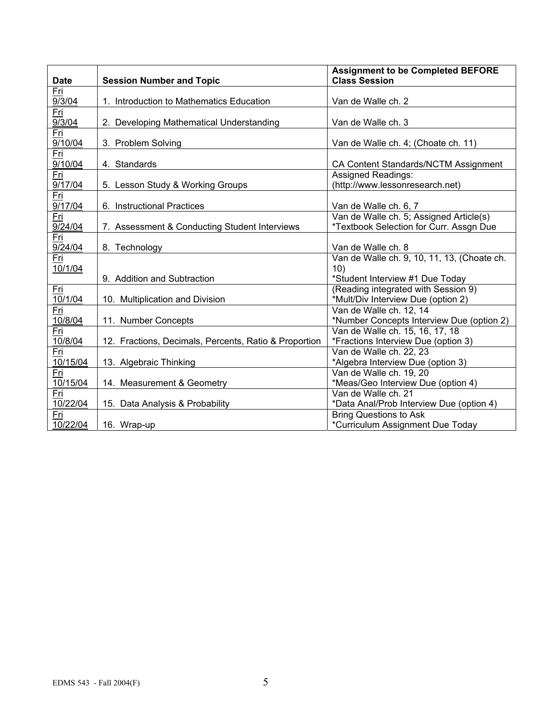| <b>Date</b>    | <b>Session Number and Topic</b>                       | <b>Assignment to be Completed BEFORE</b><br><b>Class Session</b> |
|----------------|-------------------------------------------------------|------------------------------------------------------------------|
| Fri            |                                                       |                                                                  |
| 9/3/04         | 1. Introduction to Mathematics Education              | Van de Walle ch. 2                                               |
| <u>Fri</u>     |                                                       |                                                                  |
| 9/3/04         | 2. Developing Mathematical Understanding              | Van de Walle ch. 3                                               |
| Fri            |                                                       |                                                                  |
| 9/10/04        | 3. Problem Solving                                    | Van de Walle ch. 4; (Choate ch. 11)                              |
| Fri<br>9/10/04 | 4. Standards                                          | CA Content Standards/NCTM Assignment                             |
| Fri            |                                                       | Assigned Readings:                                               |
| 9/17/04        | 5. Lesson Study & Working Groups                      | (http://www.lessonresearch.net)                                  |
| <u>Fri</u>     |                                                       |                                                                  |
| 9/17/04        | 6. Instructional Practices                            | Van de Walle ch. 6, 7                                            |
| Fri            |                                                       | Van de Walle ch. 5; Assigned Article(s)                          |
| 9/24/04        | 7. Assessment & Conducting Student Interviews         | *Textbook Selection for Curr. Assgn Due                          |
| Fri            |                                                       |                                                                  |
| 9/24/04        | 8. Technology                                         | Van de Walle ch. 8                                               |
| Fri            |                                                       | Van de Walle ch. 9, 10, 11, 13, (Choate ch.                      |
| 10/1/04        |                                                       | 10)                                                              |
|                | 9. Addition and Subtraction                           | *Student Interview #1 Due Today                                  |
| <u>Fri</u>     |                                                       | (Reading integrated with Session 9)                              |
| 10/1/04        | 10. Multiplication and Division                       | *Mult/Div Interview Due (option 2)                               |
| Fri            |                                                       | Van de Walle ch. 12, 14                                          |
| 10/8/04        | 11. Number Concepts                                   | *Number Concepts Interview Due (option 2)                        |
| Fri            |                                                       | Van de Walle ch. 15, 16, 17, 18                                  |
| 10/8/04        | 12. Fractions, Decimals, Percents, Ratio & Proportion | *Fractions Interview Due (option 3)                              |
| Fri            |                                                       | Van de Walle ch. 22, 23                                          |
| 10/15/04       | 13. Algebraic Thinking                                | *Algebra Interview Due (option 3)                                |
| Fri            |                                                       | Van de Walle ch. 19, 20                                          |
| 10/15/04       | 14. Measurement & Geometry                            | *Meas/Geo Interview Due (option 4)                               |
| Fri            |                                                       | Van de Walle ch. 21                                              |
| 10/22/04       | 15. Data Analysis & Probability                       | *Data Anal/Prob Interview Due (option 4)                         |
| Fri            |                                                       | <b>Bring Questions to Ask</b>                                    |
| 10/22/04       | 16. Wrap-up                                           | *Curriculum Assignment Due Today                                 |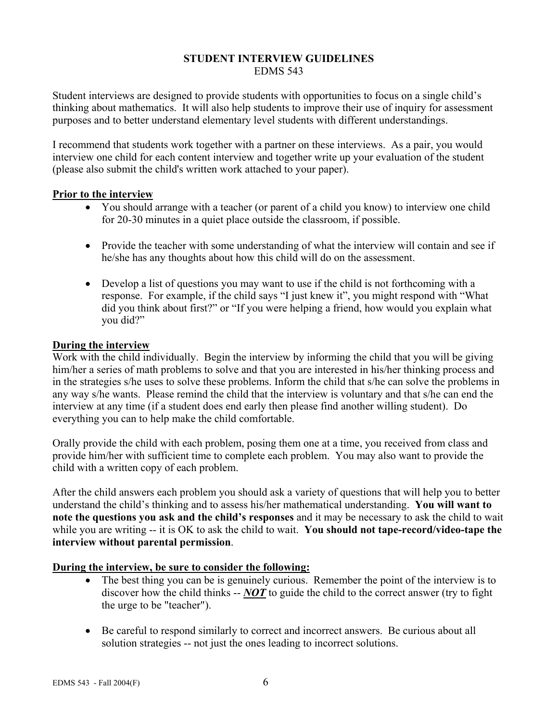#### **STUDENT INTERVIEW GUIDELINES**  EDMS 543

Student interviews are designed to provide students with opportunities to focus on a single child's thinking about mathematics. It will also help students to improve their use of inquiry for assessment purposes and to better understand elementary level students with different understandings.

I recommend that students work together with a partner on these interviews. As a pair, you would interview one child for each content interview and together write up your evaluation of the student (please also submit the child's written work attached to your paper).

# **Prior to the interview**

- You should arrange with a teacher (or parent of a child you know) to interview one child for 20-30 minutes in a quiet place outside the classroom, if possible.
- Provide the teacher with some understanding of what the interview will contain and see if he/she has any thoughts about how this child will do on the assessment.
- Develop a list of questions you may want to use if the child is not forthcoming with a response. For example, if the child says "I just knew it", you might respond with "What did you think about first?" or "If you were helping a friend, how would you explain what you did?"

# **During the interview**

Work with the child individually. Begin the interview by informing the child that you will be giving him/her a series of math problems to solve and that you are interested in his/her thinking process and in the strategies s/he uses to solve these problems. Inform the child that s/he can solve the problems in any way s/he wants. Please remind the child that the interview is voluntary and that s/he can end the interview at any time (if a student does end early then please find another willing student). Do everything you can to help make the child comfortable.

Orally provide the child with each problem, posing them one at a time, you received from class and provide him/her with sufficient time to complete each problem. You may also want to provide the child with a written copy of each problem.

After the child answers each problem you should ask a variety of questions that will help you to better understand the child's thinking and to assess his/her mathematical understanding. **You will want to note the questions you ask and the child's responses** and it may be necessary to ask the child to wait while you are writing -- it is OK to ask the child to wait. **You should not tape-record/video-tape the interview without parental permission**.

# **During the interview, be sure to consider the following:**

- The best thing you can be is genuinely curious. Remember the point of the interview is to discover how the child thinks -- *NOT* to guide the child to the correct answer (try to fight the urge to be "teacher").
- Be careful to respond similarly to correct and incorrect answers. Be curious about all solution strategies -- not just the ones leading to incorrect solutions.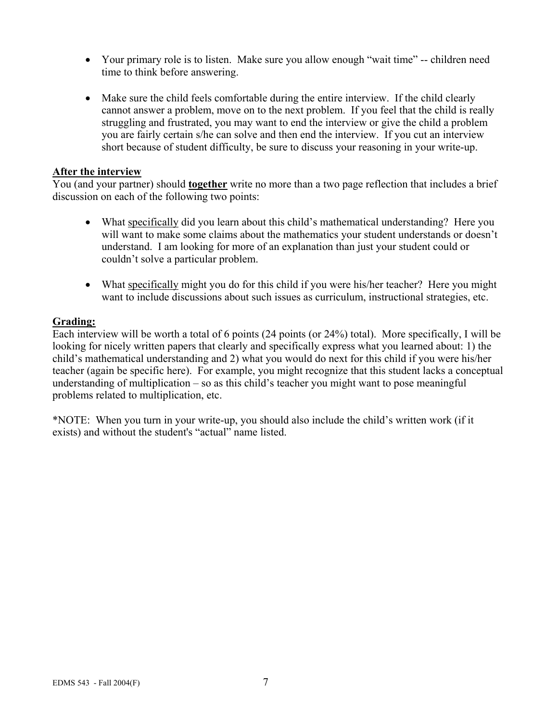- Your primary role is to listen. Make sure you allow enough "wait time" -- children need time to think before answering.
- Make sure the child feels comfortable during the entire interview. If the child clearly cannot answer a problem, move on to the next problem. If you feel that the child is really struggling and frustrated, you may want to end the interview or give the child a problem you are fairly certain s/he can solve and then end the interview. If you cut an interview short because of student difficulty, be sure to discuss your reasoning in your write-up.

#### **After the interview**

You (and your partner) should **together** write no more than a two page reflection that includes a brief discussion on each of the following two points:

- What specifically did you learn about this child's mathematical understanding? Here you will want to make some claims about the mathematics your student understands or doesn't understand. I am looking for more of an explanation than just your student could or couldn't solve a particular problem.
- What specifically might you do for this child if you were his/her teacher? Here you might want to include discussions about such issues as curriculum, instructional strategies, etc.

## **Grading:**

Each interview will be worth a total of 6 points (24 points (or 24%) total). More specifically, I will be looking for nicely written papers that clearly and specifically express what you learned about: 1) the child's mathematical understanding and 2) what you would do next for this child if you were his/her teacher (again be specific here). For example, you might recognize that this student lacks a conceptual understanding of multiplication – so as this child's teacher you might want to pose meaningful problems related to multiplication, etc.

\*NOTE: When you turn in your write-up, you should also include the child's written work (if it exists) and without the student's "actual" name listed.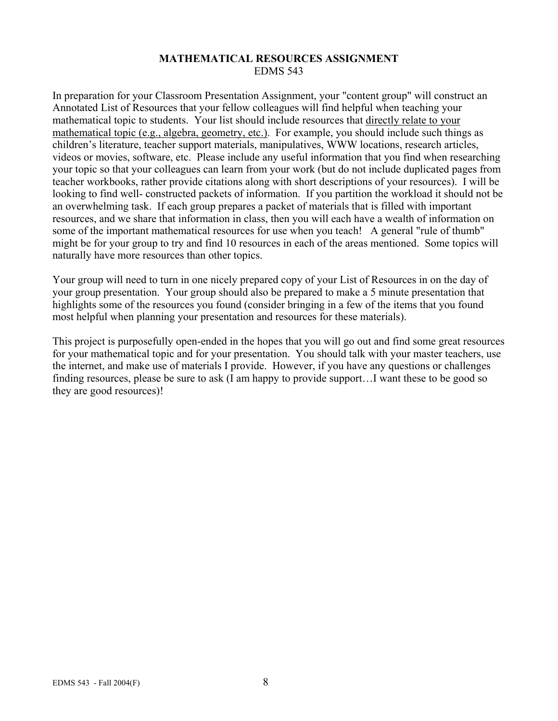## **MATHEMATICAL RESOURCES ASSIGNMENT**  EDMS 543

In preparation for your Classroom Presentation Assignment, your "content group" will construct an Annotated List of Resources that your fellow colleagues will find helpful when teaching your mathematical topic to students. Your list should include resources that directly relate to your mathematical topic (e.g., algebra, geometry, etc.). For example, you should include such things as children's literature, teacher support materials, manipulatives, WWW locations, research articles, videos or movies, software, etc. Please include any useful information that you find when researching your topic so that your colleagues can learn from your work (but do not include duplicated pages from teacher workbooks, rather provide citations along with short descriptions of your resources). I will be looking to find well- constructed packets of information. If you partition the workload it should not be an overwhelming task. If each group prepares a packet of materials that is filled with important resources, and we share that information in class, then you will each have a wealth of information on some of the important mathematical resources for use when you teach! A general "rule of thumb" might be for your group to try and find 10 resources in each of the areas mentioned. Some topics will naturally have more resources than other topics.

Your group will need to turn in one nicely prepared copy of your List of Resources in on the day of your group presentation. Your group should also be prepared to make a 5 minute presentation that highlights some of the resources you found (consider bringing in a few of the items that you found most helpful when planning your presentation and resources for these materials).

This project is purposefully open-ended in the hopes that you will go out and find some great resources for your mathematical topic and for your presentation. You should talk with your master teachers, use the internet, and make use of materials I provide. However, if you have any questions or challenges finding resources, please be sure to ask (I am happy to provide support…I want these to be good so they are good resources)!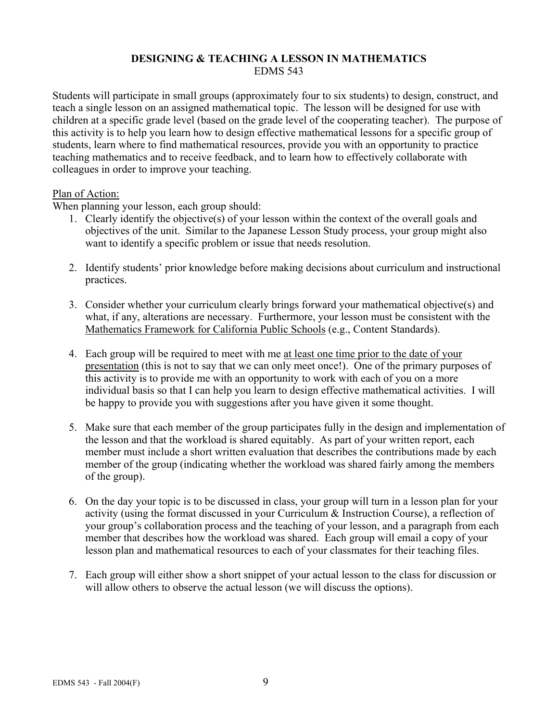# **DESIGNING & TEACHING A LESSON IN MATHEMATICS**  EDMS 543

Students will participate in small groups (approximately four to six students) to design, construct, and teach a single lesson on an assigned mathematical topic. The lesson will be designed for use with children at a specific grade level (based on the grade level of the cooperating teacher). The purpose of this activity is to help you learn how to design effective mathematical lessons for a specific group of students, learn where to find mathematical resources, provide you with an opportunity to practice teaching mathematics and to receive feedback, and to learn how to effectively collaborate with colleagues in order to improve your teaching.

## Plan of Action:

When planning your lesson, each group should:

- 1. Clearly identify the objective(s) of your lesson within the context of the overall goals and objectives of the unit. Similar to the Japanese Lesson Study process, your group might also want to identify a specific problem or issue that needs resolution.
- 2. Identify students' prior knowledge before making decisions about curriculum and instructional practices.
- 3. Consider whether your curriculum clearly brings forward your mathematical objective(s) and what, if any, alterations are necessary. Furthermore, your lesson must be consistent with the Mathematics Framework for California Public Schools (e.g., Content Standards).
- 4. Each group will be required to meet with me at least one time prior to the date of your presentation (this is not to say that we can only meet once!). One of the primary purposes of this activity is to provide me with an opportunity to work with each of you on a more individual basis so that I can help you learn to design effective mathematical activities. I will be happy to provide you with suggestions after you have given it some thought.
- 5. Make sure that each member of the group participates fully in the design and implementation of the lesson and that the workload is shared equitably. As part of your written report, each member must include a short written evaluation that describes the contributions made by each member of the group (indicating whether the workload was shared fairly among the members of the group).
- 6. On the day your topic is to be discussed in class, your group will turn in a lesson plan for your activity (using the format discussed in your Curriculum & Instruction Course), a reflection of your group's collaboration process and the teaching of your lesson, and a paragraph from each member that describes how the workload was shared. Each group will email a copy of your lesson plan and mathematical resources to each of your classmates for their teaching files.
- 7. Each group will either show a short snippet of your actual lesson to the class for discussion or will allow others to observe the actual lesson (we will discuss the options).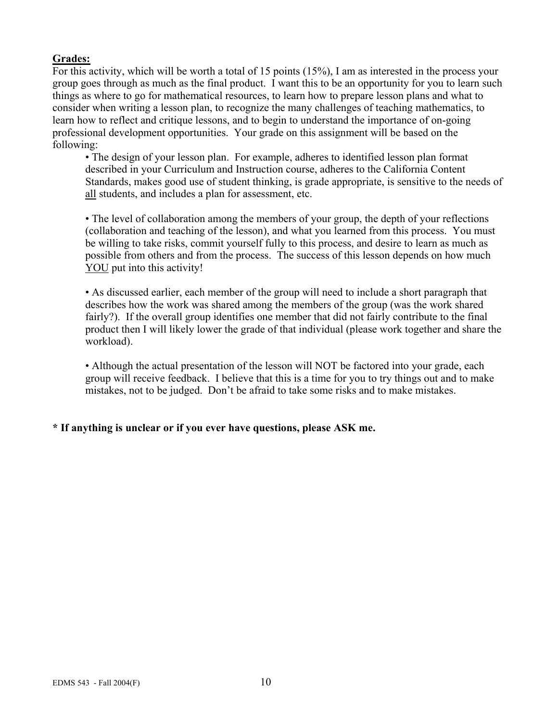# **Grades:**

For this activity, which will be worth a total of 15 points (15%), I am as interested in the process your group goes through as much as the final product. I want this to be an opportunity for you to learn such things as where to go for mathematical resources, to learn how to prepare lesson plans and what to consider when writing a lesson plan, to recognize the many challenges of teaching mathematics, to learn how to reflect and critique lessons, and to begin to understand the importance of on-going professional development opportunities. Your grade on this assignment will be based on the following:

• The design of your lesson plan. For example, adheres to identified lesson plan format described in your Curriculum and Instruction course, adheres to the California Content Standards, makes good use of student thinking, is grade appropriate, is sensitive to the needs of all students, and includes a plan for assessment, etc.

• The level of collaboration among the members of your group, the depth of your reflections (collaboration and teaching of the lesson), and what you learned from this process. You must be willing to take risks, commit yourself fully to this process, and desire to learn as much as possible from others and from the process. The success of this lesson depends on how much YOU put into this activity!

• As discussed earlier, each member of the group will need to include a short paragraph that describes how the work was shared among the members of the group (was the work shared fairly?). If the overall group identifies one member that did not fairly contribute to the final product then I will likely lower the grade of that individual (please work together and share the workload).

• Although the actual presentation of the lesson will NOT be factored into your grade, each group will receive feedback. I believe that this is a time for you to try things out and to make mistakes, not to be judged. Don't be afraid to take some risks and to make mistakes.

# **\* If anything is unclear or if you ever have questions, please ASK me.**